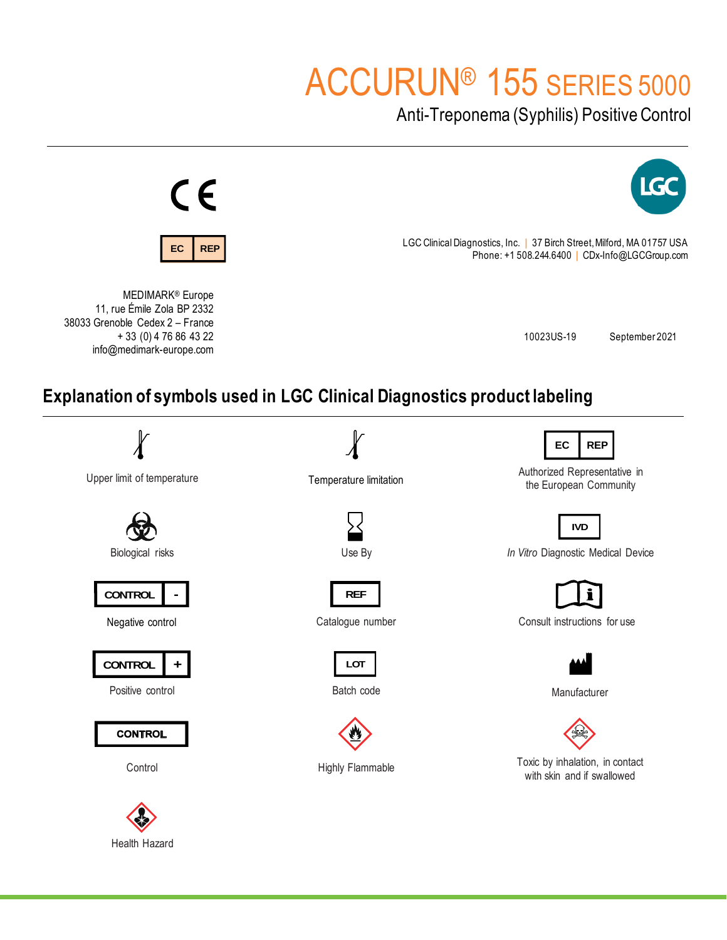# ACCURUN® 155 SERIES 5000

Anti-Treponema (Syphilis) Positive Control